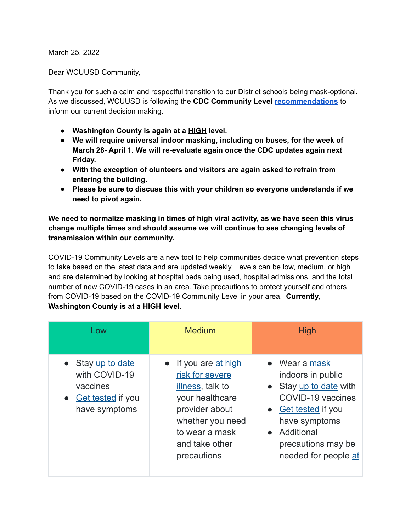March 25, 2022

Dear WCUUSD Community,

Thank you for such a calm and respectful transition to our District schools being mask-optional. As we discussed, WCUUSD is following the **CDC Community Level [recommendations](https://www.cdc.gov/coronavirus/2019-ncov/your-health/covid-by-county.html)** to inform our current decision making.

- **● Washington County is again at a HIGH level.**
- **● We will require universal indoor masking, including on buses, for the week of March 28- April 1. We will re-evaluate again once the CDC updates again next Friday.**
- **● With the exception of olunteers and visitors are again asked to refrain from entering the building.**
- **● Please be sure to discuss this with your children so everyone understands if we need to pivot again.**

**We need to normalize masking in times of high viral activity, as we have seen this virus change multiple times and should assume we will continue to see changing levels of transmission within our community.**

COVID-19 Community Levels are a new tool to help communities decide what prevention steps to take based on the latest data and are updated weekly. Levels can be low, medium, or high and are determined by looking at hospital beds being used, hospital admissions, and the total number of new COVID-19 cases in an area. Take precautions to protect yourself and others from COVID-19 based on the COVID-19 Community Level in your area. **Currently, Washington County is at a HIGH level.**

| Low                                                                                         | <b>Medium</b>                                                                                                                                                         | <b>High</b>                                                                                                                                                                           |
|---------------------------------------------------------------------------------------------|-----------------------------------------------------------------------------------------------------------------------------------------------------------------------|---------------------------------------------------------------------------------------------------------------------------------------------------------------------------------------|
| • Stay up to date<br>with COVID-19<br>vaccines<br><b>Get tested if you</b><br>have symptoms | If you are at high<br>risk for severe<br>illness, talk to<br>your healthcare<br>provider about<br>whether you need<br>to wear a mask<br>and take other<br>precautions | • Wear a mask<br>indoors in public<br>• Stay up to date with<br>COVID-19 vaccines<br>• Get tested if you<br>have symptoms<br>Additional<br>precautions may be<br>needed for people at |